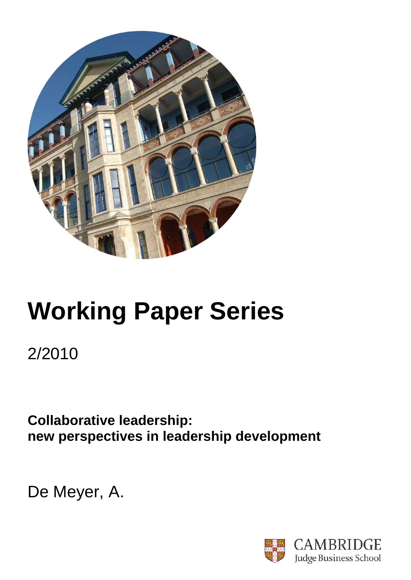

# **Working Paper Series**

2/2010

**Collaborative leadership: new perspectives in leadership development** 

De Meyer, A.

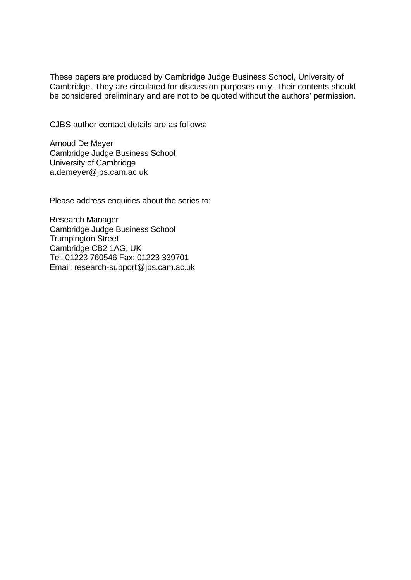These papers are produced by Cambridge Judge Business School, University of Cambridge. They are circulated for discussion purposes only. Their contents should be considered preliminary and are not to be quoted without the authors' permission.

CJBS author contact details are as follows:

Arnoud De Meyer Cambridge Judge Business School University of Cambridge a.demeyer@jbs.cam.ac.uk

Please address enquiries about the series to:

Research Manager Cambridge Judge Business School Trumpington Street Cambridge CB2 1AG, UK Tel: 01223 760546 Fax: 01223 339701 Email: research-support@jbs.cam.ac.uk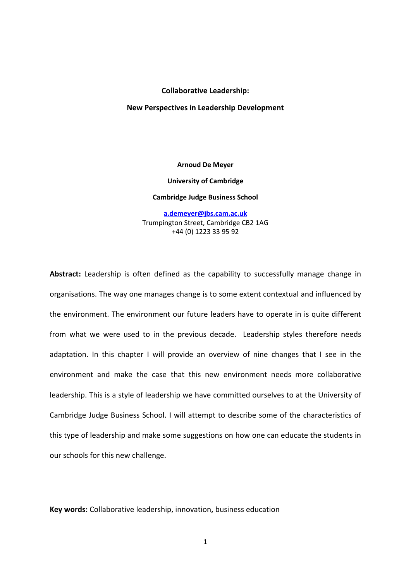## **Collaborative Leadership:**

#### **New Perspectives in Leadership Development**

**Arnoud De Meyer University of Cambridge Cambridge Judge Business School a.demeyer@jbs.cam.ac.uk**

Trumpington Street, Cambridge CB2 1AG +44 (0) 1223 33 95 92

**Abstract:** Leadership is often defined as the capability to successfully manage change in organisations. The way one manages change is to some extent contextual and influenced by the environment. The environment our future leaders have to operate in is quite different from what we were used to in the previous decade. Leadership styles therefore needs adaptation. In this chapter I will provide an overview of nine changes that I see in the environment and make the case that this new environment needs more collaborative leadership. This is a style of leadership we have committed ourselves to at the University of Cambridge Judge Business School. I will attempt to describe some of the characteristics of this type of leadership and make some suggestions on how one can educate the students in our schools for this new challenge.

**Key words:** Collaborative leadership, innovation**,** business education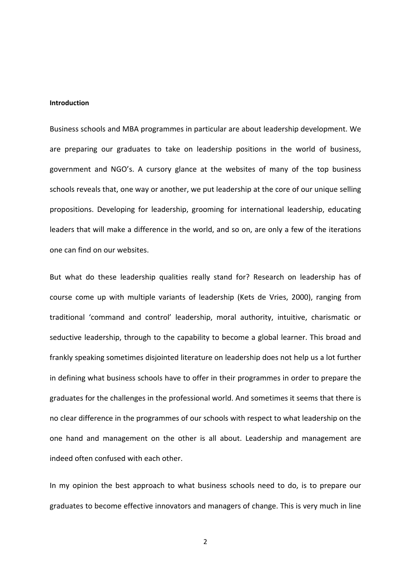# **Introduction**

Business schools and MBA programmes in particular are about leadership development. We are preparing our graduates to take on leadership positions in the world of business, government and NGO's. A cursory glance at the websites of many of the top business schools reveals that, one way or another, we put leadership at the core of our unique selling propositions. Developing for leadership, grooming for international leadership, educating leaders that will make a difference in the world, and so on, are only a few of the iterations one can find on our websites.

But what do these leadership qualities really stand for? Research on leadership has of course come up with multiple variants of leadership (Kets de Vries, 2000), ranging from traditional 'command and control' leadership, moral authority, intuitive, charismatic or seductive leadership, through to the capability to become a global learner. This broad and frankly speaking sometimes disjointed literature on leadership does not help us a lot further in defining what business schools have to offer in their programmes in order to prepare the graduates for the challenges in the professional world. And sometimes it seems that there is no clear difference in the programmes of our schools with respect to what leadership on the one hand and management on the other is all about. Leadership and management are indeed often confused with each other.

In my opinion the best approach to what business schools need to do, is to prepare our graduates to become effective innovators and managers of change. This is very much in line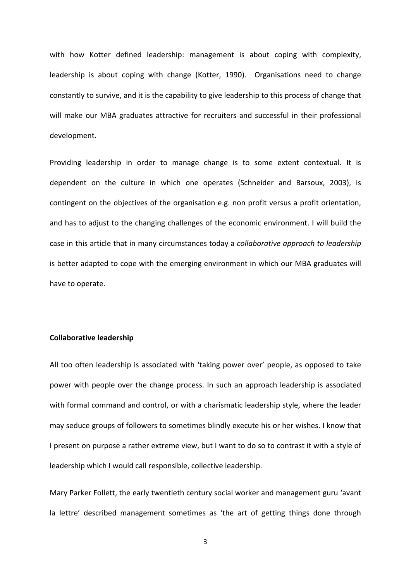with how Kotter defined leadership: management is about coping with complexity, leadership is about coping with change (Kotter, 1990). Organisations need to change constantly to survive, and it is the capability to give leadership to this process of change that will make our MBA graduates attractive for recruiters and successful in their professional development.

Providing leadership in order to manage change is to some extent contextual. It is dependent on the culture in which one operates (Schneider and Barsoux, 2003), is contingent on the objectives of the organisation e.g. non profit versus a profit orientation, and has to adjust to the changing challenges of the economic environment. I will build the case in this article that in many circumstances today a *collaborative approach to leadership* is better adapted to cope with the emerging environment in which our MBA graduates will have to operate.

# **Collaborative leadership**

All too often leadership is associated with 'taking power over' people, as opposed to take power with people over the change process. In such an approach leadership is associated with formal command and control, or with a charismatic leadership style, where the leader may seduce groups of followers to sometimes blindly execute his or her wishes. I know that I present on purpose a rather extreme view, but I want to do so to contrast it with a style of leadership which I would call responsible, collective leadership.

Mary Parker Follett, the early twentieth century social worker and management guru 'avant la lettre' described management sometimes as 'the art of getting things done through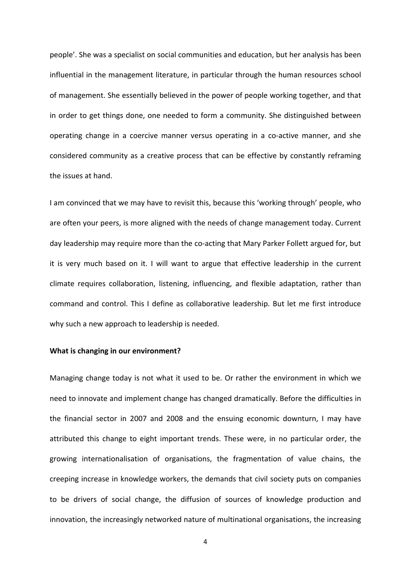people'. She was a specialist on social communities and education, but her analysis has been influential in the management literature, in particular through the human resources school of management. She essentially believed in the power of people working together, and that in order to get things done, one needed to form a community. She distinguished between operating change in a coercive manner versus operating in a co‐active manner, and she considered community as a creative process that can be effective by constantly reframing the issues at hand.

I am convinced that we may have to revisit this, because this 'working through' people, who are often your peers, is more aligned with the needs of change management today. Current day leadership may require more than the co-acting that Mary Parker Follett argued for, but it is very much based on it. I will want to argue that effective leadership in the current climate requires collaboration, listening, influencing, and flexible adaptation, rather than command and control. This I define as collaborative leadership. But let me first introduce why such a new approach to leadership is needed.

# **What is changing in our environment?**

Managing change today is not what it used to be. Or rather the environment in which we need to innovate and implement change has changed dramatically. Before the difficulties in the financial sector in 2007 and 2008 and the ensuing economic downturn, I may have attributed this change to eight important trends. These were, in no particular order, the growing internationalisation of organisations, the fragmentation of value chains, the creeping increase in knowledge workers, the demands that civil society puts on companies to be drivers of social change, the diffusion of sources of knowledge production and innovation, the increasingly networked nature of multinational organisations, the increasing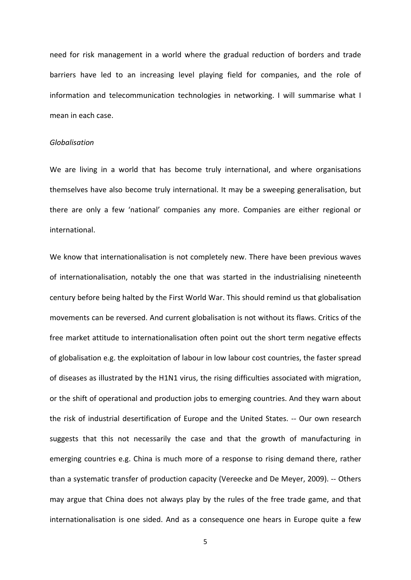need for risk management in a world where the gradual reduction of borders and trade barriers have led to an increasing level playing field for companies, and the role of information and telecommunication technologies in networking. I will summarise what I mean in each case.

## *Globalisation*

We are living in a world that has become truly international, and where organisations themselves have also become truly international. It may be a sweeping generalisation, but there are only a few 'national' companies any more. Companies are either regional or international.

We know that internationalisation is not completely new. There have been previous waves of internationalisation, notably the one that was started in the industrialising nineteenth century before being halted by the First World War. This should remind us that globalisation movements can be reversed. And current globalisation is not without its flaws. Critics of the free market attitude to internationalisation often point out the short term negative effects of globalisation e.g. the exploitation of labour in low labour cost countries, the faster spread of diseases as illustrated by the H1N1 virus, the rising difficulties associated with migration, or the shift of operational and production jobs to emerging countries. And they warn about the risk of industrial desertification of Europe and the United States. ‐‐ Our own research suggests that this not necessarily the case and that the growth of manufacturing in emerging countries e.g. China is much more of a response to rising demand there, rather than a systematic transfer of production capacity (Vereecke and De Meyer, 2009). ‐‐ Others may argue that China does not always play by the rules of the free trade game, and that internationalisation is one sided. And as a consequence one hears in Europe quite a few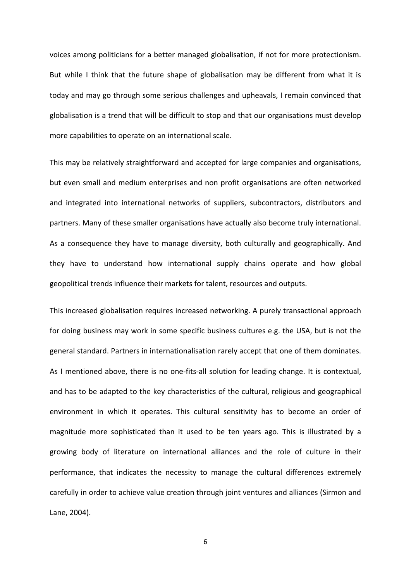voices among politicians for a better managed globalisation, if not for more protectionism. But while I think that the future shape of globalisation may be different from what it is today and may go through some serious challenges and upheavals, I remain convinced that globalisation is a trend that will be difficult to stop and that our organisations must develop more capabilities to operate on an international scale.

This may be relatively straightforward and accepted for large companies and organisations, but even small and medium enterprises and non profit organisations are often networked and integrated into international networks of suppliers, subcontractors, distributors and partners. Many of these smaller organisations have actually also become truly international. As a consequence they have to manage diversity, both culturally and geographically. And they have to understand how international supply chains operate and how global geopolitical trends influence their markets for talent, resources and outputs.

This increased globalisation requires increased networking. A purely transactional approach for doing business may work in some specific business cultures e.g. the USA, but is not the general standard. Partners in internationalisation rarely accept that one of them dominates. As I mentioned above, there is no one-fits-all solution for leading change. It is contextual, and has to be adapted to the key characteristics of the cultural, religious and geographical environment in which it operates. This cultural sensitivity has to become an order of magnitude more sophisticated than it used to be ten years ago. This is illustrated by a growing body of literature on international alliances and the role of culture in their performance, that indicates the necessity to manage the cultural differences extremely carefully in order to achieve value creation through joint ventures and alliances (Sirmon and Lane, 2004).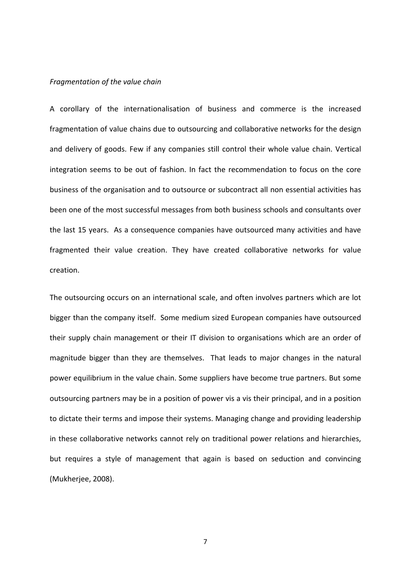## *Fragmentation of the value chain*

A corollary of the internationalisation of business and commerce is the increased fragmentation of value chains due to outsourcing and collaborative networks for the design and delivery of goods. Few if any companies still control their whole value chain. Vertical integration seems to be out of fashion. In fact the recommendation to focus on the core business of the organisation and to outsource or subcontract all non essential activities has been one of the most successful messages from both business schools and consultants over the last 15 years. As a consequence companies have outsourced many activities and have fragmented their value creation. They have created collaborative networks for value creation.

The outsourcing occurs on an international scale, and often involves partners which are lot bigger than the company itself. Some medium sized European companies have outsourced their supply chain management or their IT division to organisations which are an order of magnitude bigger than they are themselves. That leads to major changes in the natural power equilibrium in the value chain. Some suppliers have become true partners. But some outsourcing partners may be in a position of power vis a vis their principal, and in a position to dictate their terms and impose their systems. Managing change and providing leadership in these collaborative networks cannot rely on traditional power relations and hierarchies, but requires a style of management that again is based on seduction and convincing (Mukherjee, 2008).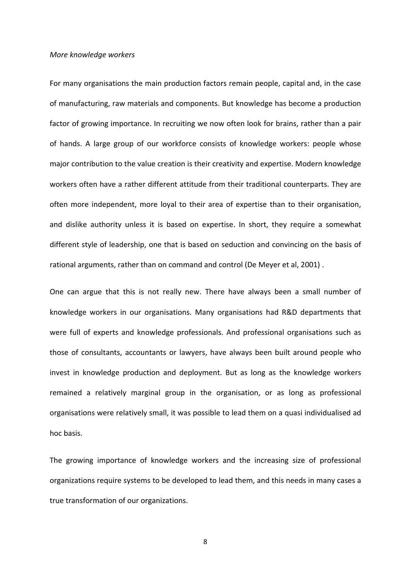# *More knowledge workers*

For many organisations the main production factors remain people, capital and, in the case of manufacturing, raw materials and components. But knowledge has become a production factor of growing importance. In recruiting we now often look for brains, rather than a pair of hands. A large group of our workforce consists of knowledge workers: people whose major contribution to the value creation is their creativity and expertise. Modern knowledge workers often have a rather different attitude from their traditional counterparts. They are often more independent, more loyal to their area of expertise than to their organisation, and dislike authority unless it is based on expertise. In short, they require a somewhat different style of leadership, one that is based on seduction and convincing on the basis of rational arguments, rather than on command and control (De Meyer et al, 2001) .

One can argue that this is not really new. There have always been a small number of knowledge workers in our organisations. Many organisations had R&D departments that were full of experts and knowledge professionals. And professional organisations such as those of consultants, accountants or lawyers, have always been built around people who invest in knowledge production and deployment. But as long as the knowledge workers remained a relatively marginal group in the organisation, or as long as professional organisations were relatively small, it was possible to lead them on a quasi individualised ad hoc basis.

The growing importance of knowledge workers and the increasing size of professional organizations require systems to be developed to lead them, and this needs in many cases a true transformation of our organizations.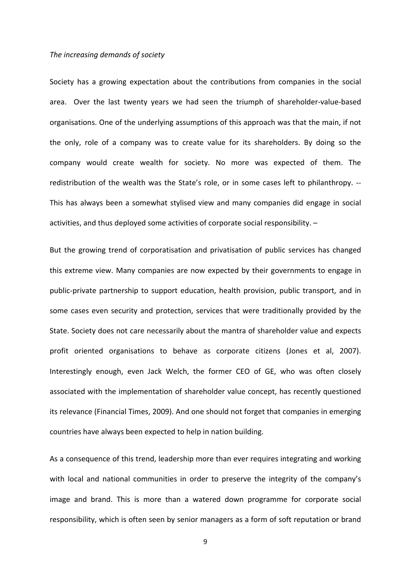### *The increasing demands of society*

Society has a growing expectation about the contributions from companies in the social area. Over the last twenty years we had seen the triumph of shareholder‐value‐based organisations. One of the underlying assumptions of this approach was that the main, if not the only, role of a company was to create value for its shareholders. By doing so the company would create wealth for society. No more was expected of them. The redistribution of the wealth was the State's role, or in some cases left to philanthropy. ‐‐ This has always been a somewhat stylised view and many companies did engage in social activities, and thus deployed some activities of corporate social responsibility. –

But the growing trend of corporatisation and privatisation of public services has changed this extreme view. Many companies are now expected by their governments to engage in public‐private partnership to support education, health provision, public transport, and in some cases even security and protection, services that were traditionally provided by the State. Society does not care necessarily about the mantra of shareholder value and expects profit oriented organisations to behave as corporate citizens (Jones et al, 2007). Interestingly enough, even Jack Welch, the former CEO of GE, who was often closely associated with the implementation of shareholder value concept, has recently questioned its relevance (Financial Times, 2009). And one should not forget that companies in emerging countries have always been expected to help in nation building.

As a consequence of this trend, leadership more than ever requires integrating and working with local and national communities in order to preserve the integrity of the company's image and brand. This is more than a watered down programme for corporate social responsibility, which is often seen by senior managers as a form of soft reputation or brand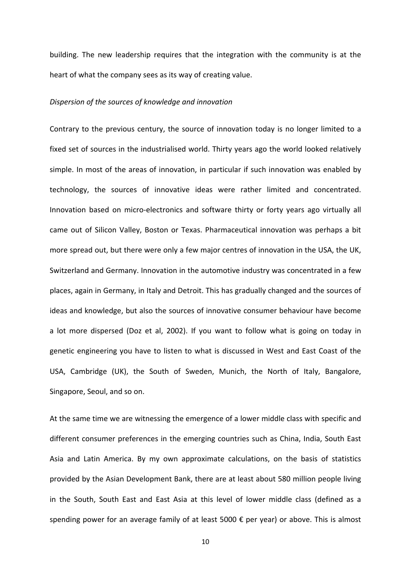building. The new leadership requires that the integration with the community is at the heart of what the company sees as its way of creating value.

## *Dispersion of the sources of knowledge and innovation*

Contrary to the previous century, the source of innovation today is no longer limited to a fixed set of sources in the industrialised world. Thirty years ago the world looked relatively simple. In most of the areas of innovation, in particular if such innovation was enabled by technology, the sources of innovative ideas were rather limited and concentrated. Innovation based on micro-electronics and software thirty or forty years ago virtually all came out of Silicon Valley, Boston or Texas. Pharmaceutical innovation was perhaps a bit more spread out, but there were only a few major centres of innovation in the USA, the UK, Switzerland and Germany. Innovation in the automotive industry was concentrated in a few places, again in Germany, in Italy and Detroit. This has gradually changed and the sources of ideas and knowledge, but also the sources of innovative consumer behaviour have become a lot more dispersed (Doz et al, 2002). If you want to follow what is going on today in genetic engineering you have to listen to what is discussed in West and East Coast of the USA, Cambridge (UK), the South of Sweden, Munich, the North of Italy, Bangalore, Singapore, Seoul, and so on.

At the same time we are witnessing the emergence of a lower middle class with specific and different consumer preferences in the emerging countries such as China, India, South East Asia and Latin America. By my own approximate calculations, on the basis of statistics provided by the Asian Development Bank, there are at least about 580 million people living in the South, South East and East Asia at this level of lower middle class (defined as a spending power for an average family of at least 5000 € per year) or above. This is almost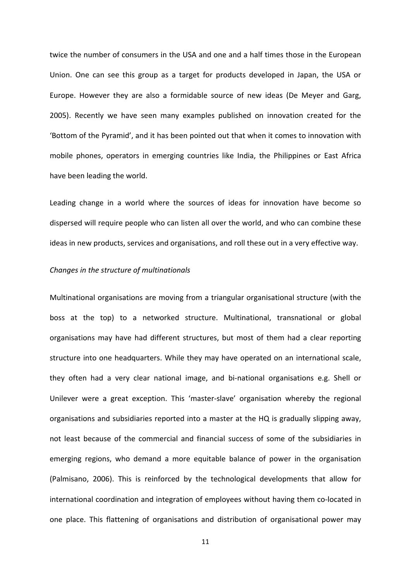twice the number of consumers in the USA and one and a half times those in the European Union. One can see this group as a target for products developed in Japan, the USA or Europe. However they are also a formidable source of new ideas (De Meyer and Garg, 2005). Recently we have seen many examples published on innovation created for the 'Bottom of the Pyramid', and it has been pointed out that when it comes to innovation with mobile phones, operators in emerging countries like India, the Philippines or East Africa have been leading the world.

Leading change in a world where the sources of ideas for innovation have become so dispersed will require people who can listen all over the world, and who can combine these ideas in new products, services and organisations, and roll these out in a very effective way.

#### *Changes in the structure of multinationals*

Multinational organisations are moving from a triangular organisational structure (with the boss at the top) to a networked structure. Multinational, transnational or global organisations may have had different structures, but most of them had a clear reporting structure into one headquarters. While they may have operated on an international scale, they often had a very clear national image, and bi‐national organisations e.g. Shell or Unilever were a great exception. This 'master‐slave' organisation whereby the regional organisations and subsidiaries reported into a master at the HQ is gradually slipping away, not least because of the commercial and financial success of some of the subsidiaries in emerging regions, who demand a more equitable balance of power in the organisation (Palmisano, 2006). This is reinforced by the technological developments that allow for international coordination and integration of employees without having them co-located in one place. This flattening of organisations and distribution of organisational power may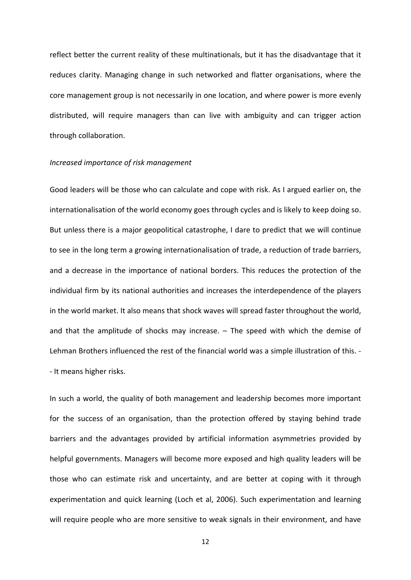reflect better the current reality of these multinationals, but it has the disadvantage that it reduces clarity. Managing change in such networked and flatter organisations, where the core management group is not necessarily in one location, and where power is more evenly distributed, will require managers than can live with ambiguity and can trigger action through collaboration.

# *Increased importance of risk management*

Good leaders will be those who can calculate and cope with risk. As I argued earlier on, the internationalisation of the world economy goes through cycles and is likely to keep doing so. But unless there is a major geopolitical catastrophe, I dare to predict that we will continue to see in the long term a growing internationalisation of trade, a reduction of trade barriers, and a decrease in the importance of national borders. This reduces the protection of the individual firm by its national authorities and increases the interdependence of the players in the world market. It also means that shock waves will spread faster throughout the world, and that the amplitude of shocks may increase. – The speed with which the demise of Lehman Brothers influenced the rest of the financial world was a simple illustration of this. ‐ ‐ It means higher risks.

In such a world, the quality of both management and leadership becomes more important for the success of an organisation, than the protection offered by staying behind trade barriers and the advantages provided by artificial information asymmetries provided by helpful governments. Managers will become more exposed and high quality leaders will be those who can estimate risk and uncertainty, and are better at coping with it through experimentation and quick learning (Loch et al, 2006). Such experimentation and learning will require people who are more sensitive to weak signals in their environment, and have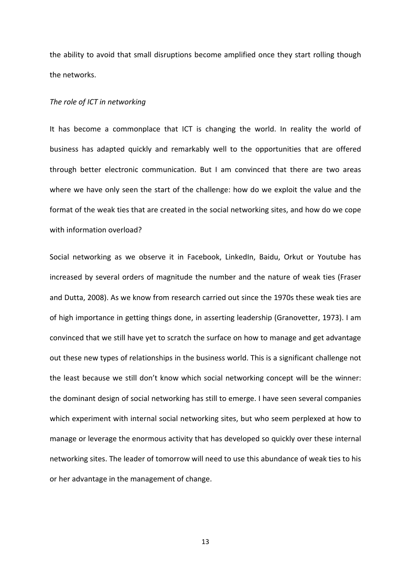the ability to avoid that small disruptions become amplified once they start rolling though the networks.

# *The role of ICT in networking*

It has become a commonplace that ICT is changing the world. In reality the world of business has adapted quickly and remarkably well to the opportunities that are offered through better electronic communication. But I am convinced that there are two areas where we have only seen the start of the challenge: how do we exploit the value and the format of the weak ties that are created in the social networking sites, and how do we cope with information overload?

Social networking as we observe it in Facebook, LinkedIn, Baidu, Orkut or Youtube has increased by several orders of magnitude the number and the nature of weak ties (Fraser and Dutta, 2008). As we know from research carried out since the 1970s these weak ties are of high importance in getting things done, in asserting leadership (Granovetter, 1973). I am convinced that we still have yet to scratch the surface on how to manage and get advantage out these new types of relationships in the business world. This is a significant challenge not the least because we still don't know which social networking concept will be the winner: the dominant design of social networking has still to emerge. I have seen several companies which experiment with internal social networking sites, but who seem perplexed at how to manage or leverage the enormous activity that has developed so quickly over these internal networking sites. The leader of tomorrow will need to use this abundance of weak ties to his or her advantage in the management of change.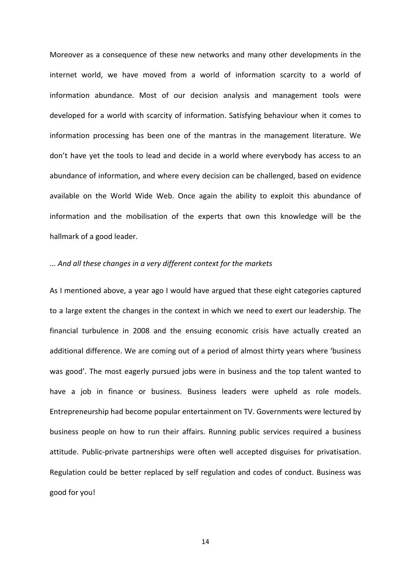Moreover as a consequence of these new networks and many other developments in the internet world, we have moved from a world of information scarcity to a world of information abundance. Most of our decision analysis and management tools were developed for a world with scarcity of information. Satisfying behaviour when it comes to information processing has been one of the mantras in the management literature. We don't have yet the tools to lead and decide in a world where everybody has access to an abundance of information, and where every decision can be challenged, based on evidence available on the World Wide Web. Once again the ability to exploit this abundance of information and the mobilisation of the experts that own this knowledge will be the hallmark of a good leader.

# ... *And all these changes in a very different context for the markets*

As I mentioned above, a year ago I would have argued that these eight categories captured to a large extent the changes in the context in which we need to exert our leadership. The financial turbulence in 2008 and the ensuing economic crisis have actually created an additional difference. We are coming out of a period of almost thirty years where 'business was good'. The most eagerly pursued jobs were in business and the top talent wanted to have a job in finance or business. Business leaders were upheld as role models. Entrepreneurship had become popular entertainment on TV. Governments were lectured by business people on how to run their affairs. Running public services required a business attitude. Public‐private partnerships were often well accepted disguises for privatisation. Regulation could be better replaced by self regulation and codes of conduct. Business was good for you!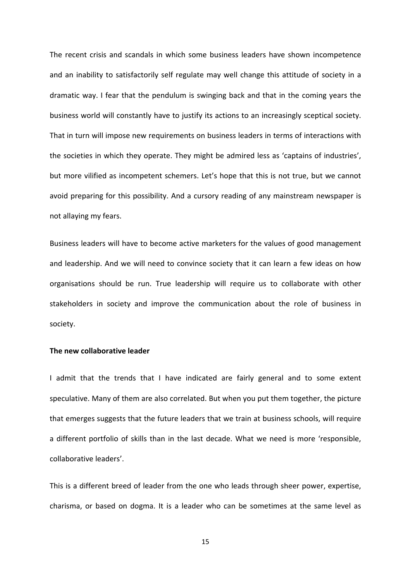The recent crisis and scandals in which some business leaders have shown incompetence and an inability to satisfactorily self regulate may well change this attitude of society in a dramatic way. I fear that the pendulum is swinging back and that in the coming years the business world will constantly have to justify its actions to an increasingly sceptical society. That in turn will impose new requirements on business leaders in terms of interactions with the societies in which they operate. They might be admired less as 'captains of industries', but more vilified as incompetent schemers. Let's hope that this is not true, but we cannot avoid preparing for this possibility. And a cursory reading of any mainstream newspaper is not allaying my fears.

Business leaders will have to become active marketers for the values of good management and leadership. And we will need to convince society that it can learn a few ideas on how organisations should be run. True leadership will require us to collaborate with other stakeholders in society and improve the communication about the role of business in society.

# **The new collaborative leader**

I admit that the trends that I have indicated are fairly general and to some extent speculative. Many of them are also correlated. But when you put them together, the picture that emerges suggests that the future leaders that we train at business schools, will require a different portfolio of skills than in the last decade. What we need is more 'responsible, collaborative leaders'.

This is a different breed of leader from the one who leads through sheer power, expertise, charisma, or based on dogma. It is a leader who can be sometimes at the same level as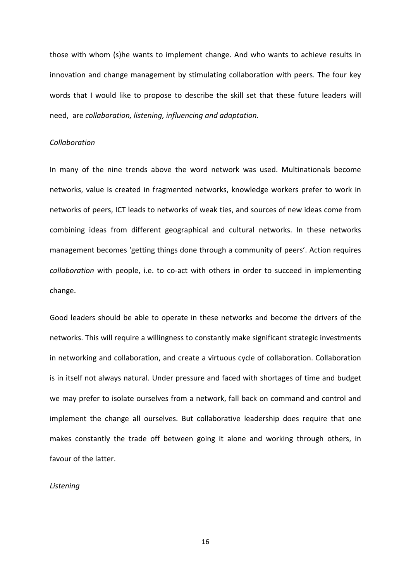those with whom (s)he wants to implement change. And who wants to achieve results in innovation and change management by stimulating collaboration with peers. The four key words that I would like to propose to describe the skill set that these future leaders will need, are *collaboration, listening, influencing and adaptation.*

# *Collaboration*

In many of the nine trends above the word network was used. Multinationals become networks, value is created in fragmented networks, knowledge workers prefer to work in networks of peers, ICT leads to networks of weak ties, and sources of new ideas come from combining ideas from different geographical and cultural networks. In these networks management becomes 'getting things done through a community of peers'. Action requires *collaboration* with people, i.e. to co‐act with others in order to succeed in implementing change.

Good leaders should be able to operate in these networks and become the drivers of the networks. This will require a willingness to constantly make significant strategic investments in networking and collaboration, and create a virtuous cycle of collaboration. Collaboration is in itself not always natural. Under pressure and faced with shortages of time and budget we may prefer to isolate ourselves from a network, fall back on command and control and implement the change all ourselves. But collaborative leadership does require that one makes constantly the trade off between going it alone and working through others, in favour of the latter.

# *Listening*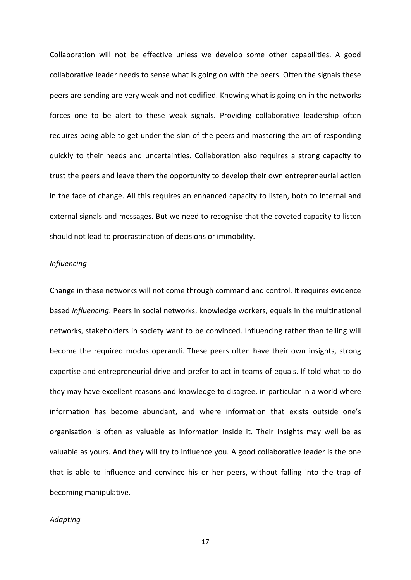Collaboration will not be effective unless we develop some other capabilities. A good collaborative leader needs to sense what is going on with the peers. Often the signals these peers are sending are very weak and not codified. Knowing what is going on in the networks forces one to be alert to these weak signals. Providing collaborative leadership often requires being able to get under the skin of the peers and mastering the art of responding quickly to their needs and uncertainties. Collaboration also requires a strong capacity to trust the peers and leave them the opportunity to develop their own entrepreneurial action in the face of change. All this requires an enhanced capacity to listen, both to internal and external signals and messages. But we need to recognise that the coveted capacity to listen should not lead to procrastination of decisions or immobility.

# *Influencing*

Change in these networks will not come through command and control. It requires evidence based *influencing*. Peers in social networks, knowledge workers, equals in the multinational networks, stakeholders in society want to be convinced. Influencing rather than telling will become the required modus operandi. These peers often have their own insights, strong expertise and entrepreneurial drive and prefer to act in teams of equals. If told what to do they may have excellent reasons and knowledge to disagree, in particular in a world where information has become abundant, and where information that exists outside one's organisation is often as valuable as information inside it. Their insights may well be as valuable as yours. And they will try to influence you. A good collaborative leader is the one that is able to influence and convince his or her peers, without falling into the trap of becoming manipulative.

# *Adapting*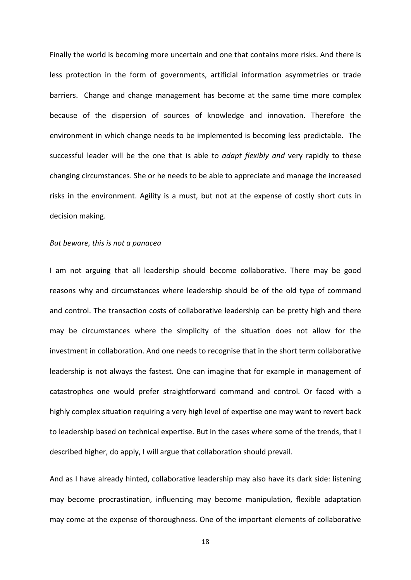Finally the world is becoming more uncertain and one that contains more risks. And there is less protection in the form of governments, artificial information asymmetries or trade barriers. Change and change management has become at the same time more complex because of the dispersion of sources of knowledge and innovation. Therefore the environment in which change needs to be implemented is becoming less predictable. The successful leader will be the one that is able to *adapt flexibly and* very rapidly to these changing circumstances. She or he needs to be able to appreciate and manage the increased risks in the environment. Agility is a must, but not at the expense of costly short cuts in decision making.

# *But beware, this is not a panacea*

I am not arguing that all leadership should become collaborative. There may be good reasons why and circumstances where leadership should be of the old type of command and control. The transaction costs of collaborative leadership can be pretty high and there may be circumstances where the simplicity of the situation does not allow for the investment in collaboration. And one needs to recognise that in the short term collaborative leadership is not always the fastest. One can imagine that for example in management of catastrophes one would prefer straightforward command and control. Or faced with a highly complex situation requiring a very high level of expertise one may want to revert back to leadership based on technical expertise. But in the cases where some of the trends, that I described higher, do apply, I will argue that collaboration should prevail.

And as I have already hinted, collaborative leadership may also have its dark side: listening may become procrastination, influencing may become manipulation, flexible adaptation may come at the expense of thoroughness. One of the important elements of collaborative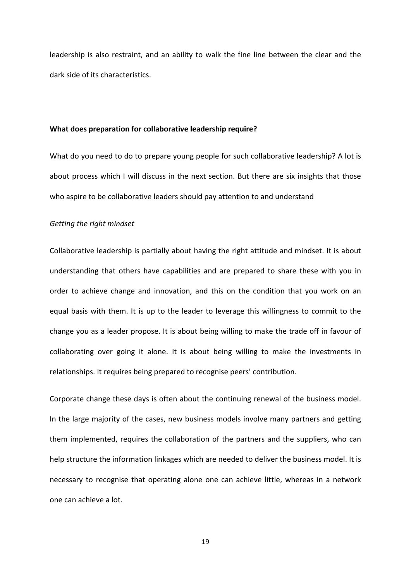leadership is also restraint, and an ability to walk the fine line between the clear and the dark side of its characteristics.

# **What does preparation for collaborative leadership require?**

What do you need to do to prepare young people for such collaborative leadership? A lot is about process which I will discuss in the next section. But there are six insights that those who aspire to be collaborative leaders should pay attention to and understand

# *Getting the right mindset*

Collaborative leadership is partially about having the right attitude and mindset. It is about understanding that others have capabilities and are prepared to share these with you in order to achieve change and innovation, and this on the condition that you work on an equal basis with them. It is up to the leader to leverage this willingness to commit to the change you as a leader propose. It is about being willing to make the trade off in favour of collaborating over going it alone. It is about being willing to make the investments in relationships. It requires being prepared to recognise peers' contribution.

Corporate change these days is often about the continuing renewal of the business model. In the large majority of the cases, new business models involve many partners and getting them implemented, requires the collaboration of the partners and the suppliers, who can help structure the information linkages which are needed to deliver the business model. It is necessary to recognise that operating alone one can achieve little, whereas in a network one can achieve a lot.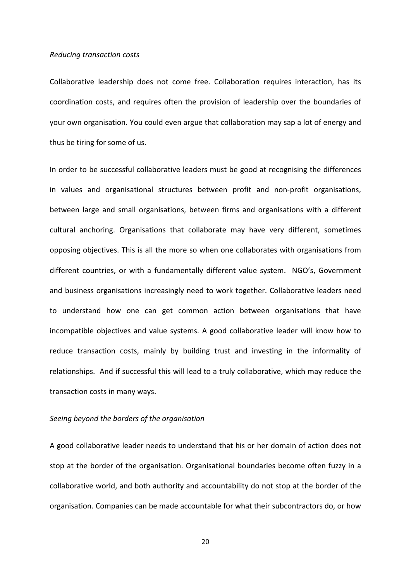## *Reducing transaction costs*

Collaborative leadership does not come free. Collaboration requires interaction, has its coordination costs, and requires often the provision of leadership over the boundaries of your own organisation. You could even argue that collaboration may sap a lot of energy and thus be tiring for some of us.

In order to be successful collaborative leaders must be good at recognising the differences in values and organisational structures between profit and non‐profit organisations, between large and small organisations, between firms and organisations with a different cultural anchoring. Organisations that collaborate may have very different, sometimes opposing objectives. This is all the more so when one collaborates with organisations from different countries, or with a fundamentally different value system. NGO's, Government and business organisations increasingly need to work together. Collaborative leaders need to understand how one can get common action between organisations that have incompatible objectives and value systems. A good collaborative leader will know how to reduce transaction costs, mainly by building trust and investing in the informality of relationships. And if successful this will lead to a truly collaborative, which may reduce the transaction costs in many ways.

# *Seeing beyond the borders of the organisation*

A good collaborative leader needs to understand that his or her domain of action does not stop at the border of the organisation. Organisational boundaries become often fuzzy in a collaborative world, and both authority and accountability do not stop at the border of the organisation. Companies can be made accountable for what their subcontractors do, or how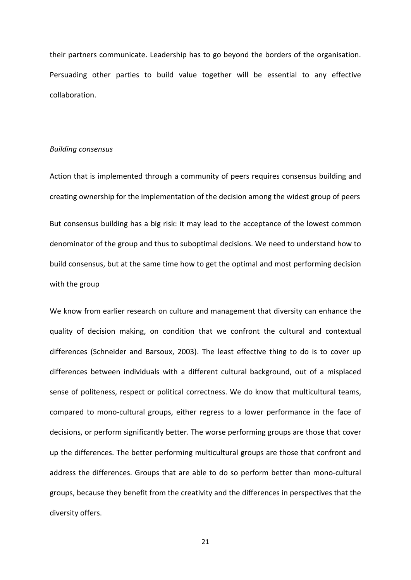their partners communicate. Leadership has to go beyond the borders of the organisation. Persuading other parties to build value together will be essential to any effective collaboration.

# *Building consensus*

Action that is implemented through a community of peers requires consensus building and creating ownership for the implementation of the decision among the widest group of peers

But consensus building has a big risk: it may lead to the acceptance of the lowest common denominator of the group and thus to suboptimal decisions. We need to understand how to build consensus, but at the same time how to get the optimal and most performing decision with the group

We know from earlier research on culture and management that diversity can enhance the quality of decision making, on condition that we confront the cultural and contextual differences (Schneider and Barsoux, 2003). The least effective thing to do is to cover up differences between individuals with a different cultural background, out of a misplaced sense of politeness, respect or political correctness. We do know that multicultural teams, compared to mono‐cultural groups, either regress to a lower performance in the face of decisions, or perform significantly better. The worse performing groups are those that cover up the differences. The better performing multicultural groups are those that confront and address the differences. Groups that are able to do so perform better than mono‐cultural groups, because they benefit from the creativity and the differences in perspectives that the diversity offers.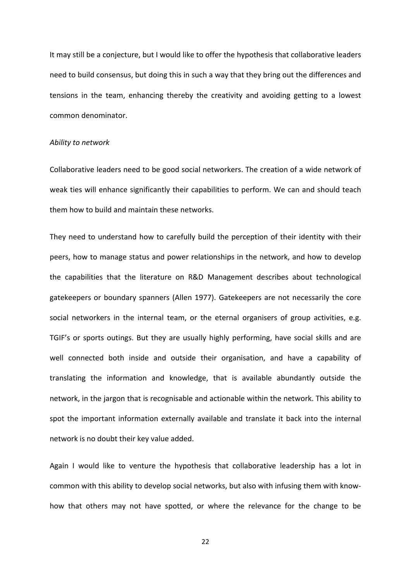It may still be a conjecture, but I would like to offer the hypothesis that collaborative leaders need to build consensus, but doing this in such a way that they bring out the differences and tensions in the team, enhancing thereby the creativity and avoiding getting to a lowest common denominator.

#### *Ability to network*

Collaborative leaders need to be good social networkers. The creation of a wide network of weak ties will enhance significantly their capabilities to perform. We can and should teach them how to build and maintain these networks.

They need to understand how to carefully build the perception of their identity with their peers, how to manage status and power relationships in the network, and how to develop the capabilities that the literature on R&D Management describes about technological gatekeepers or boundary spanners (Allen 1977). Gatekeepers are not necessarily the core social networkers in the internal team, or the eternal organisers of group activities, e.g. TGIF's or sports outings. But they are usually highly performing, have social skills and are well connected both inside and outside their organisation, and have a capability of translating the information and knowledge, that is available abundantly outside the network, in the jargon that is recognisable and actionable within the network. This ability to spot the important information externally available and translate it back into the internal network is no doubt their key value added.

Again I would like to venture the hypothesis that collaborative leadership has a lot in common with this ability to develop social networks, but also with infusing them with know‐ how that others may not have spotted, or where the relevance for the change to be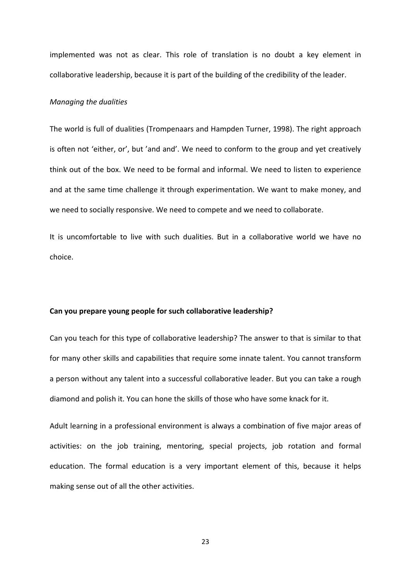implemented was not as clear. This role of translation is no doubt a key element in collaborative leadership, because it is part of the building of the credibility of the leader.

# *Managing the dualities*

The world is full of dualities (Trompenaars and Hampden Turner, 1998). The right approach is often not 'either, or', but 'and and'. We need to conform to the group and yet creatively think out of the box. We need to be formal and informal. We need to listen to experience and at the same time challenge it through experimentation. We want to make money, and we need to socially responsive. We need to compete and we need to collaborate.

It is uncomfortable to live with such dualities. But in a collaborative world we have no choice.

#### **Can you prepare young people for such collaborative leadership?**

Can you teach for this type of collaborative leadership? The answer to that is similar to that for many other skills and capabilities that require some innate talent. You cannot transform a person without any talent into a successful collaborative leader. But you can take a rough diamond and polish it. You can hone the skills of those who have some knack for it.

Adult learning in a professional environment is always a combination of five major areas of activities: on the job training, mentoring, special projects, job rotation and formal education. The formal education is a very important element of this, because it helps making sense out of all the other activities.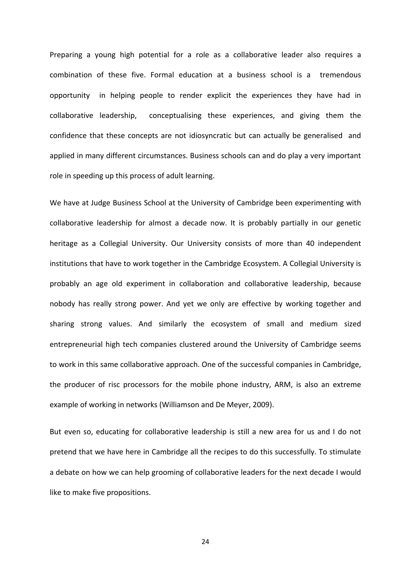Preparing a young high potential for a role as a collaborative leader also requires a combination of these five. Formal education at a business school is a tremendous opportunity in helping people to render explicit the experiences they have had in collaborative leadership, conceptualising these experiences, and giving them the confidence that these concepts are not idiosyncratic but can actually be generalised and applied in many different circumstances. Business schools can and do play a very important role in speeding up this process of adult learning.

We have at Judge Business School at the University of Cambridge been experimenting with collaborative leadership for almost a decade now. It is probably partially in our genetic heritage as a Collegial University. Our University consists of more than 40 independent institutions that have to work together in the Cambridge Ecosystem. A Collegial University is probably an age old experiment in collaboration and collaborative leadership, because nobody has really strong power. And yet we only are effective by working together and sharing strong values. And similarly the ecosystem of small and medium sized entrepreneurial high tech companies clustered around the University of Cambridge seems to work in this same collaborative approach. One of the successful companies in Cambridge, the producer of risc processors for the mobile phone industry, ARM, is also an extreme example of working in networks (Williamson and De Meyer, 2009).

But even so, educating for collaborative leadership is still a new area for us and I do not pretend that we have here in Cambridge all the recipes to do this successfully. To stimulate a debate on how we can help grooming of collaborative leaders for the next decade I would like to make five propositions.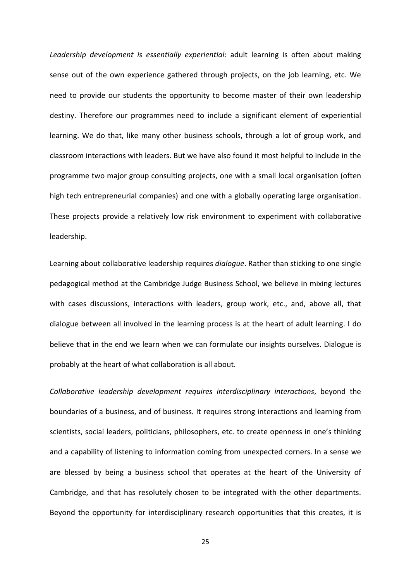*Leadership development is essentially experiential*: adult learning is often about making sense out of the own experience gathered through projects, on the job learning, etc. We need to provide our students the opportunity to become master of their own leadership destiny. Therefore our programmes need to include a significant element of experiential learning. We do that, like many other business schools, through a lot of group work, and classroom interactions with leaders. But we have also found it most helpful to include in the programme two major group consulting projects, one with a small local organisation (often high tech entrepreneurial companies) and one with a globally operating large organisation. These projects provide a relatively low risk environment to experiment with collaborative leadership.

Learning about collaborative leadership requires *dialogue*. Rather than sticking to one single pedagogical method at the Cambridge Judge Business School, we believe in mixing lectures with cases discussions, interactions with leaders, group work, etc., and, above all, that dialogue between all involved in the learning process is at the heart of adult learning. I do believe that in the end we learn when we can formulate our insights ourselves. Dialogue is probably at the heart of what collaboration is all about.

*Collaborative leadership development requires interdisciplinary interactions*, beyond the boundaries of a business, and of business. It requires strong interactions and learning from scientists, social leaders, politicians, philosophers, etc. to create openness in one's thinking and a capability of listening to information coming from unexpected corners. In a sense we are blessed by being a business school that operates at the heart of the University of Cambridge, and that has resolutely chosen to be integrated with the other departments. Beyond the opportunity for interdisciplinary research opportunities that this creates, it is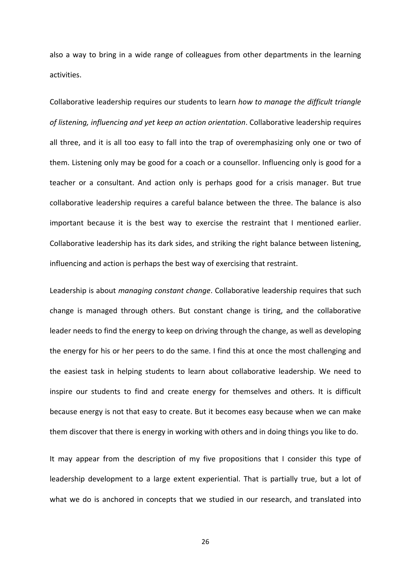also a way to bring in a wide range of colleagues from other departments in the learning activities.

Collaborative leadership requires our students to learn *how to manage the difficult triangle of listening, influencing and yet keep an action orientation*. Collaborative leadership requires all three, and it is all too easy to fall into the trap of overemphasizing only one or two of them. Listening only may be good for a coach or a counsellor. Influencing only is good for a teacher or a consultant. And action only is perhaps good for a crisis manager. But true collaborative leadership requires a careful balance between the three. The balance is also important because it is the best way to exercise the restraint that I mentioned earlier. Collaborative leadership has its dark sides, and striking the right balance between listening, influencing and action is perhaps the best way of exercising that restraint.

Leadership is about *managing constant change*. Collaborative leadership requires that such change is managed through others. But constant change is tiring, and the collaborative leader needs to find the energy to keep on driving through the change, as well as developing the energy for his or her peers to do the same. I find this at once the most challenging and the easiest task in helping students to learn about collaborative leadership. We need to inspire our students to find and create energy for themselves and others. It is difficult because energy is not that easy to create. But it becomes easy because when we can make them discover that there is energy in working with others and in doing things you like to do.

It may appear from the description of my five propositions that I consider this type of leadership development to a large extent experiential. That is partially true, but a lot of what we do is anchored in concepts that we studied in our research, and translated into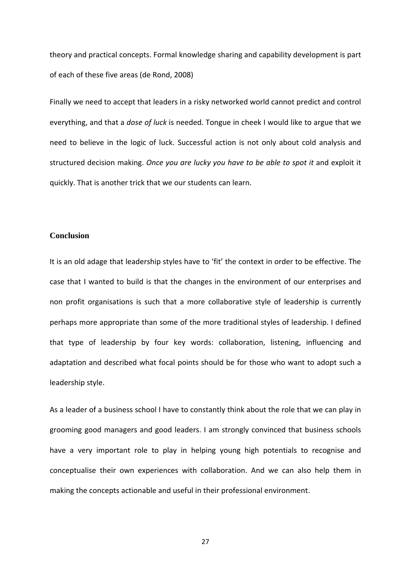theory and practical concepts. Formal knowledge sharing and capability development is part of each of these five areas (de Rond, 2008)

Finally we need to accept that leaders in a risky networked world cannot predict and control everything, and that a *dose of luck* is needed. Tongue in cheek I would like to argue that we need to believe in the logic of luck. Successful action is not only about cold analysis and structured decision making. *Once you are lucky you have to be able to spot it* and exploit it quickly. That is another trick that we our students can learn.

# **Conclusion**

It is an old adage that leadership styles have to 'fit' the context in order to be effective. The case that I wanted to build is that the changes in the environment of our enterprises and non profit organisations is such that a more collaborative style of leadership is currently perhaps more appropriate than some of the more traditional styles of leadership. I defined that type of leadership by four key words: collaboration, listening, influencing and adaptation and described what focal points should be for those who want to adopt such a leadership style.

As a leader of a business school I have to constantly think about the role that we can play in grooming good managers and good leaders. I am strongly convinced that business schools have a very important role to play in helping young high potentials to recognise and conceptualise their own experiences with collaboration. And we can also help them in making the concepts actionable and useful in their professional environment.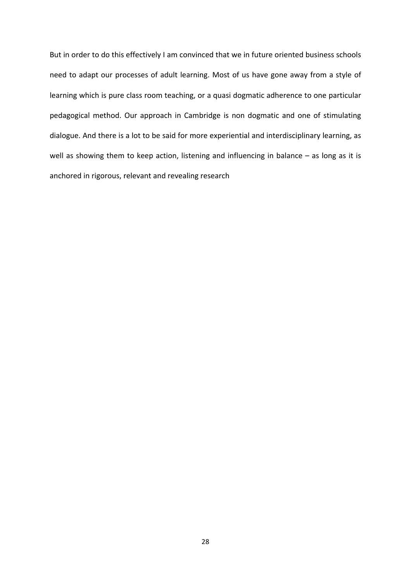But in order to do this effectively I am convinced that we in future oriented business schools need to adapt our processes of adult learning. Most of us have gone away from a style of learning which is pure class room teaching, or a quasi dogmatic adherence to one particular pedagogical method. Our approach in Cambridge is non dogmatic and one of stimulating dialogue. And there is a lot to be said for more experiential and interdisciplinary learning, as well as showing them to keep action, listening and influencing in balance – as long as it is anchored in rigorous, relevant and revealing research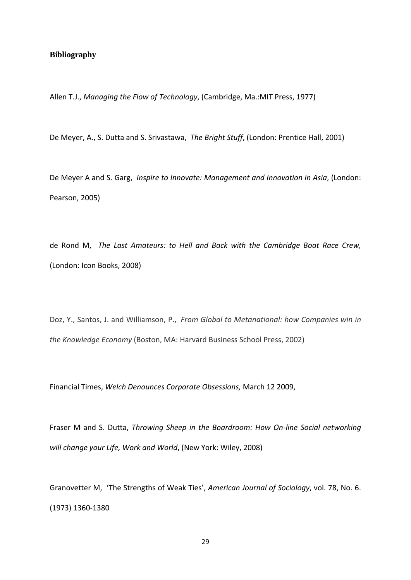# **Bibliography**

Allen T.J., *Managing the Flow of Technology*, (Cambridge, Ma.:MIT Press, 1977)

De Meyer, A., S. Dutta and S. Srivastawa, *The Bright Stuff*, (London: Prentice Hall, 2001)

De Meyer A and S. Garg, *Inspire to Innovate: Management and Innovation in Asia*, (London: Pearson, 2005)

de Rond M, *The Last Amateurs: to Hell and Back with the Cambridge Boat Race Crew,* (London: Icon Books, 2008)

Doz, Y., Santos, J. and Williamson, P., *From Global to Metanational: how Companies win in the Knowledge Economy* (Boston, MA: Harvard Business School Press, 2002)

Financial Times, *Welch Denounces Corporate Obsessions,* March 12 2009,

Fraser M and S. Dutta, *Throwing Sheep in the Boardroom: How On‐line Social networking will change your Life, Work and World*, (New York: Wiley, 2008)

Granovetter M, 'The Strengths of Weak Ties', *American Journal of Sociology*, vol. 78, No. 6. (1973) 1360‐1380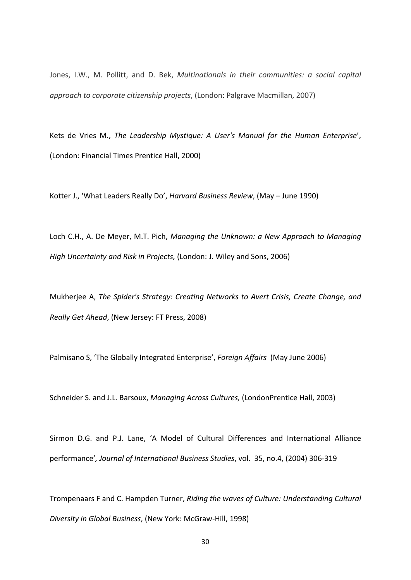Jones, I.W., M. Pollitt, and D. Bek, *Multinationals in their communities: a social capital approach to corporate citizenship projects*, (London: Palgrave Macmillan, 2007)

Kets de Vries M., *The Leadership Mystique: A User's Manual for the Human Enterprise*', (London: Financial Times Prentice Hall, 2000)

Kotter J., 'What Leaders Really Do', *Harvard Business Review*, (May – June 1990)

Loch C.H., A. De Meyer, M.T. Pich, *Managing the Unknown: a New Approach to Managing High Uncertainty and Risk in Projects,* (London: J. Wiley and Sons, 2006)

Mukherjee A, *The Spider's Strategy: Creating Networks to Avert Crisis, Create Change, and Really Get Ahead*, (New Jersey: FT Press, 2008)

Palmisano S, 'The Globally Integrated Enterprise', *Foreign Affairs* (May June 2006)

Schneider S. and J.L. Barsoux, *Managing Across Cultures,* (LondonPrentice Hall, 2003)

Sirmon D.G. and P.J. Lane, 'A Model of Cultural Differences and International Alliance performance'*, Journal of International Business Studies*, vol. 35, no.4, (2004) 306‐319

Trompenaars F and C. Hampden Turner, *Riding the waves of Culture: Understanding Cultural Diversity in Global Business*, (New York: McGraw‐Hill, 1998)